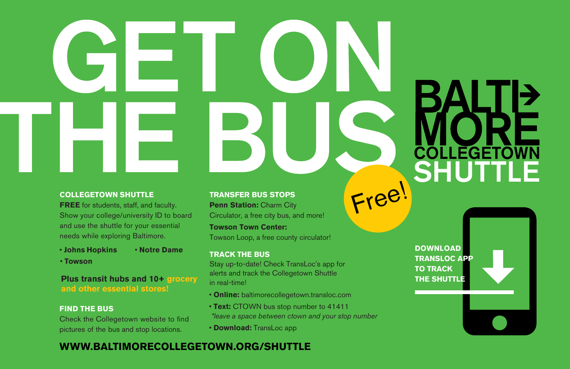Free!

## **COLLEGETOWN SHUTTLE**

**FREE** for students, staff, and faculty. Show your college/university ID to board and use the shuttle for your essential needs while exploring Baltimore.

- **Johns Hopkins Notre Dame**
- **Towson**

**Plus transit hubs and 10+ grocery and other essential stores!**

## **FIND THE BUS**

Check the Collegetown website to find pictures of the bus and stop locations.

**TRANSFER BUS STOPS Penn Station: Charm City** Circulator, a free city bus, and more! **Towson Town Center:**

Towson Loop, a free county circulator!

## **TRACK THE BUS**

Stay up-to-date! Check TransLoc's app for alerts and track the Collegetown Shuttle in real-time!

- **Online:** baltimorecollegetown.transloc.com
- **Text:** CTOWN bus stop number to 41411 *\*leave a space between ctown and your stop number*
- **Download:** TransLoc app

## **WWW.BALTIMORECOLLEGETOWN.ORG/SHUTTLE**

**DOWNLOAD TRANSLOC APP TO TRACK THE SHUTTLE**

**COLLEGETO**<br>SHUTTL